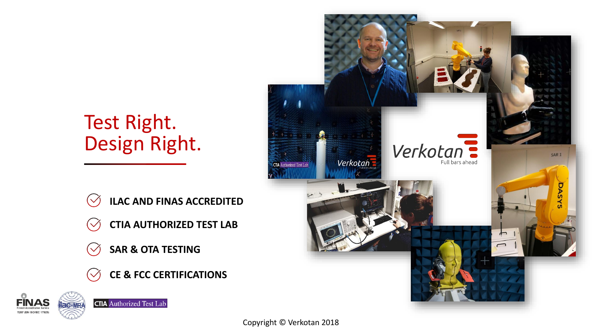## Test Right. Design Right.

- **ILAC AND FINAS ACCREDITED**
- **CTIA AUTHORIZED TEST LAB**
- **SAR & OTA TESTING**
- **CE & FCC CERTIFICATIONS**





Copyright © Verkotan 2018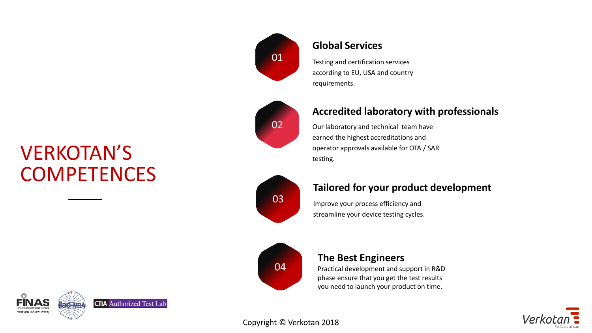## VERKOTAN'S **COMPETENCES**

**CTIA** Authorized Test Lab

**2**





### **Global Services**

Testing and certification services according to EU, USA and country requirements.

### **Accredited laboratory with professionals**

Our laboratory and technical team have earned the highest accreditations and operator approvals available for OTA / SAR testing.



### **Tailored for your product development**

Improve your process efficiency and streamline your device testing cycles.



### **The Best Engineers**

Practical development and support in R&D phase ensure that you get the test results you need to launch your product on time.

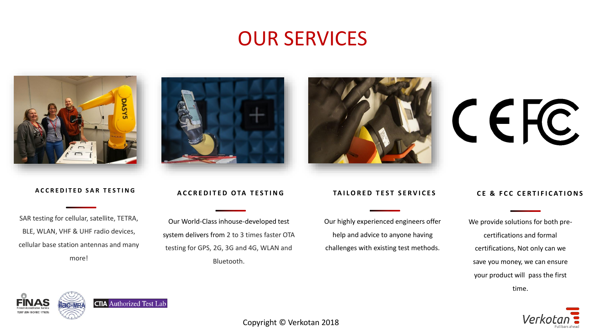### OUR SERVICES



#### **A C C R E D I T E D S A R T E S T I N G**

SAR testing for cellular, satellite, TETRA, BLE, WLAN, VHF & UHF radio devices, cellular base station antennas and many more!



#### **ACCREDITED OTA TESTING**

Our World‐Class inhouse-developed test system delivers from 2 to 3 times faster OTA testing for GPS, 2G, 3G and 4G, WLAN and Bluetooth.



#### **TAILORED TEST SERVICES**

Our highly experienced engineers offer help and advice to anyone having challenges with existing test methods.

#### **CE & FCC CERTIFICATIONS**

CEFC

We provide solutions for both precertifications and formal certifications, Not only can we save you money, we can ensure your product will pass the first time.





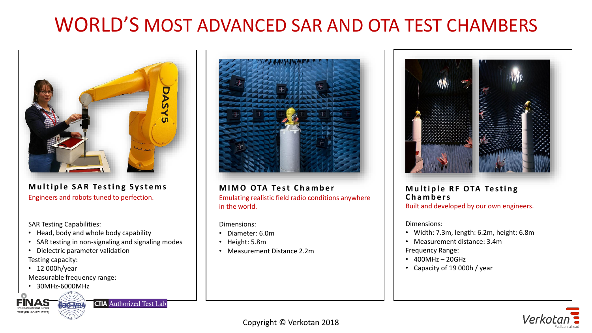## WORLD'S MOST ADVANCED SAR AND OTA TEST CHAMBERS



**Multiple SAR Testing Systems** Engineers and robots tuned to perfection.

SAR Testing Capabilities:

- Head, body and whole body capability
- SAR testing in non-signaling and signaling modes
- Dielectric parameter validation

Testing capacity:

• 12 000h/year

Measurable frequency range:

• 30MHz-6000MHz







**MIMO OTA Test Chamber** Emulating realistic field radio conditions anywhere in the world.

Dimensions:

- Diameter: 6.0m
- Height: 5.8m
- Measurement Distance 2.2m



### **Multiple RF OTA Testing C h a m b e r s**

Built and developed by our own engineers.

Dimensions:

- Width: 7.3m, length: 6.2m, height: 6.8m
- Measurement distance: 3.4m

Frequency Range:

- 400MHz 20GHz
- Capacity of 19 000h / year

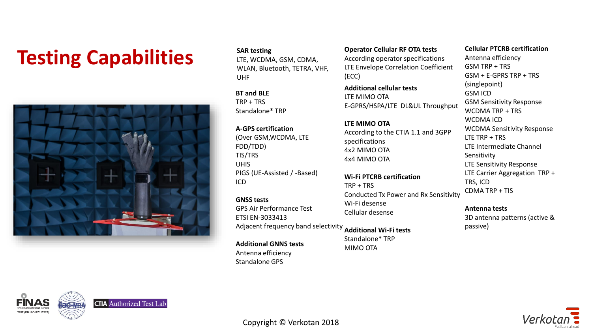## **Testing** Capabilities<br> **Testing** Capabilities<br> *SAR testing*<br> *Capabilities SAR testing*<br> *Capabilities*<br> *Capabilities*



**SAR testing** LTE, WCDMA, GSM, CDMA, WLAN, Bluetooth, TETRA, VHF, UHF

**BT and BLE**  $TRP + TRS$ Standalone\* TRP

**A-GPS certification**  (Over GSM,WCDMA, LTE FDD/TDD) TIS/TRS UHIS PIGS (UE-Assisted / -Based) ICD

Adjacent frequency band selectivity **Additional Wi-Fi tests GNSS tests** GPS Air Performance Test ETSI EN-3033413

**Additional GNNS tests** Antenna efficiency Standalone GPS

According operator specifications LTE Envelope Correlation Coefficient (ECC)

**Additional cellular tests** LTE MIMO OTA E-GPRS/HSPA/LTE DL&UL Throughput

**LTE MIMO OTA** According to the CTIA 1.1 and 3GPP specifications 4x2 MIMO OTA 4x4 MIMO OTA

**Wi-Fi PTCRB certification** TRP + TRS Conducted Tx Power and Rx Sensitivity Wi-Fi desense Cellular desense

Standalone\* TRP MIMO OTA

#### **Cellular PTCRB certification**

Antenna efficiency GSM TRP + TRS GSM + E-GPRS TRP + TRS (singlepoint) GSM ICD GSM Sensitivity Response WCDMA TRP + TRS WCDMA ICD WCDMA Sensitivity Response LTE TRP + TRS LTE Intermediate Channel Sensitivity LTE Sensitivity Response LTE Carrier Aggregation TRP + TRS, ICD CDMA TRP + TIS

#### **Antenna tests**

3D antenna patterns (active & passive)



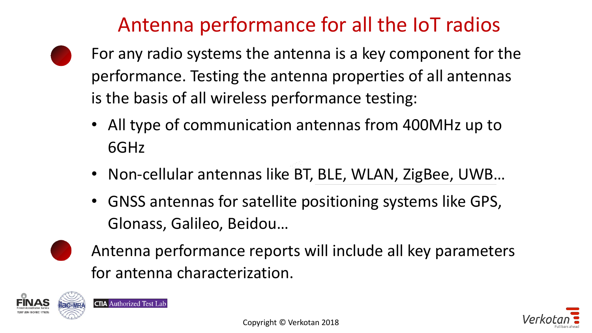## Antenna performance for all the IoT radios

- For any radio systems the antenna is a key component for the performance. Testing the antenna properties of all antennas is the basis of all wireless performance testing:
	- All type of communication antennas from 400MHz up to 6GHz
	- Non-cellular antennas like BT, BLE, WLAN, ZigBee, UWB…
	- GNSS antennas for satellite positioning systems like GPS, Glonass, Galileo, Beidou…
	- Antenna performance reports will include all key parameters for antenna characterization.



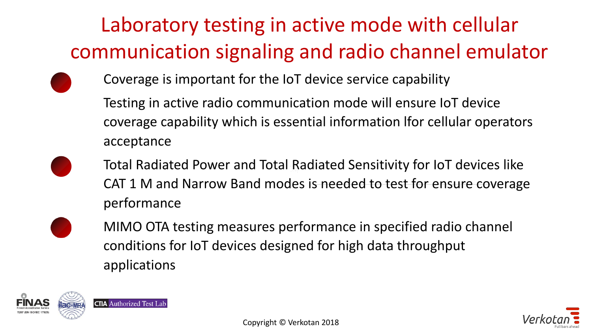# Laboratory testing in active mode with cellular communication signaling and radio channel emulator

- 
- Coverage is important for the IoT device service capability
- Testing in active radio communication mode will ensure IoT device coverage capability which is essential information lfor cellular operators acceptance
- Total Radiated Power and Total Radiated Sensitivity for IoT devices like CAT 1 M and Narrow Band modes is needed to test for ensure coverage performance
- MIMO OTA testing measures performance in specified radio channel conditions for IoT devices designed for high data throughput applications

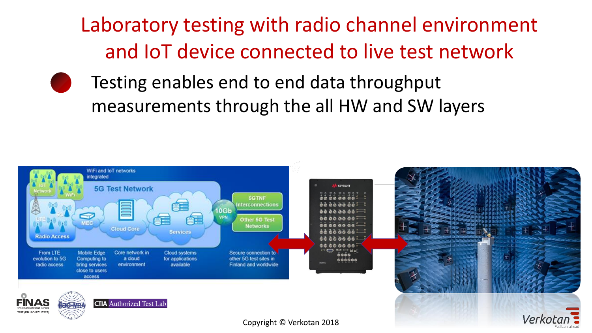Laboratory testing with radio channel environment and IoT device connected to live test network

Testing enables end to end data throughput measurements through the all HW and SW layers